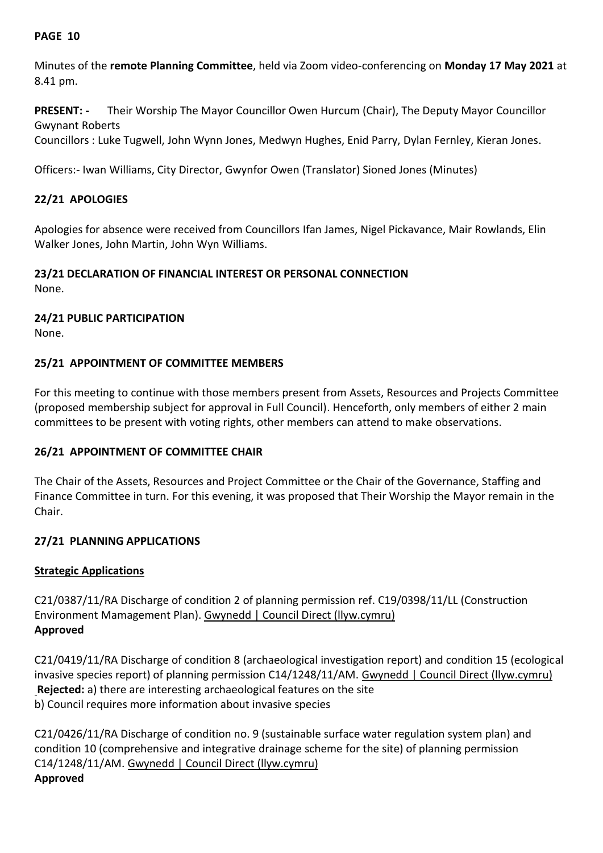#### **PAGE 10**

Minutes of the **remote Planning Committee**, held via Zoom video-conferencing on **Monday 17 May 2021** at 8.41 pm.

**PRESENT: -** Their Worship The Mayor Councillor Owen Hurcum (Chair), The Deputy Mayor Councillor Gwynant Roberts

Councillors : Luke Tugwell, John Wynn Jones, Medwyn Hughes, Enid Parry, Dylan Fernley, Kieran Jones.

Officers:- Iwan Williams, City Director, Gwynfor Owen (Translator) Sioned Jones (Minutes)

# **22/21 APOLOGIES**

Apologies for absence were received from Councillors Ifan James, Nigel Pickavance, Mair Rowlands, Elin Walker Jones, John Martin, John Wyn Williams.

# **23/21 DECLARATION OF FINANCIAL INTEREST OR PERSONAL CONNECTION**

None.

**24/21 PUBLIC PARTICIPATION**

None.

#### **25/21 APPOINTMENT OF COMMITTEE MEMBERS**

For this meeting to continue with those members present from Assets, Resources and Projects Committee (proposed membership subject for approval in Full Council). Henceforth, only members of either 2 main committees to be present with voting rights, other members can attend to make observations.

#### **26/21 APPOINTMENT OF COMMITTEE CHAIR**

The Chair of the Assets, Resources and Project Committee or the Chair of the Governance, Staffing and Finance Committee in turn. For this evening, it was proposed that Their Worship the Mayor remain in the Chair.

#### **27/21 PLANNING APPLICATIONS**

#### **Strategic Applications**

C21/0387/11/RA Discharge of condition 2 of planning permission ref. C19/0398/11/LL (Construction Environment Mamagement Plan). [Gwynedd | Council Direct \(llyw.cymru\)](https://amg.gwynedd.llyw.cymru/planning/index.html?fa=getApplication&id=31691&language=cy) **Approved**

C21/0419/11/RA Discharge of condition 8 (archaeological investigation report) and condition 15 (ecological invasive species report) of planning permission C14/1248/11/AM. [Gwynedd | Council Direct \(llyw.cymru\)](https://amg.gwynedd.llyw.cymru/planning/index.html?fa=getApplication&id=31711&language=cy) **Rejected:** a) there are interesting archaeological features on the site b) Council requires more information about invasive species

C21/0426/11/RA Discharge of condition no. 9 (sustainable surface water regulation system plan) and condition 10 (comprehensive and integrative drainage scheme for the site) of planning permission C14/1248/11/AM. [Gwynedd | Council Direct \(llyw.cymru\)](https://amg.gwynedd.llyw.cymru/planning/index.html?fa=getApplication&id=31716&language=cy) **Approved**